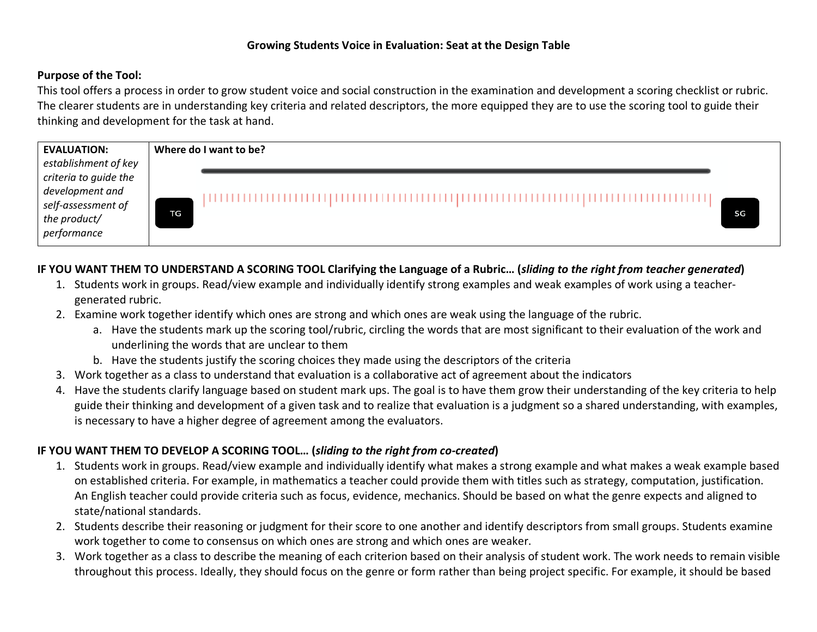### **Purpose of the Tool:**

This tool offers a process in order to grow student voice and social construction in the examination and development a scoring checklist or rubric. The clearer students are in understanding key criteria and related descriptors, the more equipped they are to use the scoring tool to guide their thinking and development for the task at hand.

| <b>EVALUATION:</b>                       | Where do I want to be? |    |
|------------------------------------------|------------------------|----|
| establishment of key                     |                        |    |
| criteria to guide the<br>development and |                        |    |
| self-assessment of<br>the product/       |                        |    |
|                                          | TG.                    | SG |
| performance                              |                        |    |

# **IF YOU WANT THEM TO UNDERSTAND A SCORING TOOL Clarifying the Language of a Rubric… (***sliding to the right from teacher generated***)**

- 1. Students work in groups. Read/view example and individually identify strong examples and weak examples of work using a teachergenerated rubric.
- 2. Examine work together identify which ones are strong and which ones are weak using the language of the rubric.
	- a. Have the students mark up the scoring tool/rubric, circling the words that are most significant to their evaluation of the work and underlining the words that are unclear to them
	- b. Have the students justify the scoring choices they made using the descriptors of the criteria
- 3. Work together as a class to understand that evaluation is a collaborative act of agreement about the indicators
- 4. Have the students clarify language based on student mark ups. The goal is to have them grow their understanding of the key criteria to help guide their thinking and development of a given task and to realize that evaluation is a judgment so a shared understanding, with examples, is necessary to have a higher degree of agreement among the evaluators.

### **IF YOU WANT THEM TO DEVELOP A SCORING TOOL… (***sliding to the right from co-created***)**

- 1. Students work in groups. Read/view example and individually identify what makes a strong example and what makes a weak example based on established criteria. For example, in mathematics a teacher could provide them with titles such as strategy, computation, justification. An English teacher could provide criteria such as focus, evidence, mechanics. Should be based on what the genre expects and aligned to state/national standards.
- 2. Students describe their reasoning or judgment for their score to one another and identify descriptors from small groups. Students examine work together to come to consensus on which ones are strong and which ones are weaker.
- 3. Work together as a class to describe the meaning of each criterion based on their analysis of student work. The work needs to remain visible throughout this process. Ideally, they should focus on the genre or form rather than being project specific. For example, it should be based